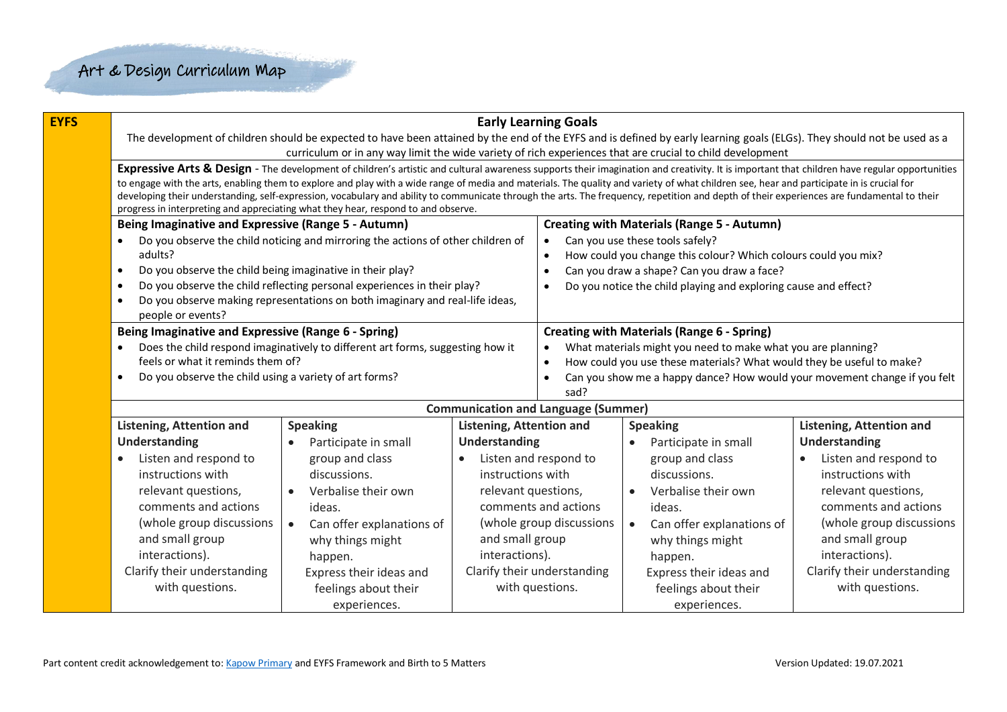| <b>EYFS</b> |                                                                                                          | <b>Early Learning Goals</b>                                                                                                                                                                                                                                                                                                                                                             |                                 |                                                                                                                                                    |                                                                           |                                 |  |  |  |  |  |
|-------------|----------------------------------------------------------------------------------------------------------|-----------------------------------------------------------------------------------------------------------------------------------------------------------------------------------------------------------------------------------------------------------------------------------------------------------------------------------------------------------------------------------------|---------------------------------|----------------------------------------------------------------------------------------------------------------------------------------------------|---------------------------------------------------------------------------|---------------------------------|--|--|--|--|--|
|             |                                                                                                          | The development of children should be expected to have been attained by the end of the EYFS and is defined by early learning goals (ELGs). They should not be used as a                                                                                                                                                                                                                 |                                 |                                                                                                                                                    |                                                                           |                                 |  |  |  |  |  |
|             |                                                                                                          | curriculum or in any way limit the wide variety of rich experiences that are crucial to child development                                                                                                                                                                                                                                                                               |                                 |                                                                                                                                                    |                                                                           |                                 |  |  |  |  |  |
|             |                                                                                                          | Expressive Arts & Design - The development of children's artistic and cultural awareness supports their imagination and creativity. It is important that children have regular opportunities                                                                                                                                                                                            |                                 |                                                                                                                                                    |                                                                           |                                 |  |  |  |  |  |
|             |                                                                                                          | to engage with the arts, enabling them to explore and play with a wide range of media and materials. The quality and variety of what children see, hear and participate in is crucial for<br>developing their understanding, self-expression, vocabulary and ability to communicate through the arts. The frequency, repetition and depth of their experiences are fundamental to their |                                 |                                                                                                                                                    |                                                                           |                                 |  |  |  |  |  |
|             |                                                                                                          | progress in interpreting and appreciating what they hear, respond to and observe.                                                                                                                                                                                                                                                                                                       |                                 |                                                                                                                                                    |                                                                           |                                 |  |  |  |  |  |
|             | Being Imaginative and Expressive (Range 5 - Autumn)<br><b>Creating with Materials (Range 5 - Autumn)</b> |                                                                                                                                                                                                                                                                                                                                                                                         |                                 |                                                                                                                                                    |                                                                           |                                 |  |  |  |  |  |
|             |                                                                                                          | Do you observe the child noticing and mirroring the actions of other children of                                                                                                                                                                                                                                                                                                        | $\bullet$                       | Can you use these tools safely?                                                                                                                    |                                                                           |                                 |  |  |  |  |  |
|             | adults?                                                                                                  |                                                                                                                                                                                                                                                                                                                                                                                         |                                 | $\bullet$                                                                                                                                          | How could you change this colour? Which colours could you mix?            |                                 |  |  |  |  |  |
|             | Do you observe the child being imaginative in their play?<br>$\bullet$                                   |                                                                                                                                                                                                                                                                                                                                                                                         |                                 | $\bullet$                                                                                                                                          | Can you draw a shape? Can you draw a face?                                |                                 |  |  |  |  |  |
|             | $\bullet$                                                                                                | Do you observe the child reflecting personal experiences in their play?                                                                                                                                                                                                                                                                                                                 |                                 | $\bullet$                                                                                                                                          | Do you notice the child playing and exploring cause and effect?           |                                 |  |  |  |  |  |
|             | $\bullet$                                                                                                | Do you observe making representations on both imaginary and real-life ideas,                                                                                                                                                                                                                                                                                                            |                                 |                                                                                                                                                    |                                                                           |                                 |  |  |  |  |  |
|             | people or events?                                                                                        |                                                                                                                                                                                                                                                                                                                                                                                         |                                 |                                                                                                                                                    |                                                                           |                                 |  |  |  |  |  |
|             | Being Imaginative and Expressive (Range 6 - Spring)                                                      |                                                                                                                                                                                                                                                                                                                                                                                         |                                 |                                                                                                                                                    | <b>Creating with Materials (Range 6 - Spring)</b>                         |                                 |  |  |  |  |  |
|             | feels or what it reminds them of?                                                                        | Does the child respond imaginatively to different art forms, suggesting how it                                                                                                                                                                                                                                                                                                          |                                 | What materials might you need to make what you are planning?<br>$\bullet$<br>How could you use these materials? What would they be useful to make? |                                                                           |                                 |  |  |  |  |  |
|             | Do you observe the child using a variety of art forms?<br>$\bullet$                                      |                                                                                                                                                                                                                                                                                                                                                                                         |                                 | $\bullet$<br>$\bullet$                                                                                                                             | Can you show me a happy dance? How would your movement change if you felt |                                 |  |  |  |  |  |
|             |                                                                                                          |                                                                                                                                                                                                                                                                                                                                                                                         |                                 | sad?                                                                                                                                               |                                                                           |                                 |  |  |  |  |  |
|             |                                                                                                          |                                                                                                                                                                                                                                                                                                                                                                                         |                                 | <b>Communication and Language (Summer)</b>                                                                                                         |                                                                           |                                 |  |  |  |  |  |
|             | <b>Listening, Attention and</b>                                                                          | <b>Speaking</b>                                                                                                                                                                                                                                                                                                                                                                         | <b>Listening, Attention and</b> |                                                                                                                                                    | <b>Speaking</b>                                                           | <b>Listening, Attention and</b> |  |  |  |  |  |
|             | Understanding                                                                                            | Participate in small                                                                                                                                                                                                                                                                                                                                                                    | <b>Understanding</b>            |                                                                                                                                                    | Participate in small<br>$\bullet$                                         | <b>Understanding</b>            |  |  |  |  |  |
|             | Listen and respond to<br>$\bullet$                                                                       | group and class                                                                                                                                                                                                                                                                                                                                                                         |                                 | Listen and respond to                                                                                                                              | group and class                                                           | Listen and respond to           |  |  |  |  |  |
|             | instructions with                                                                                        | discussions.                                                                                                                                                                                                                                                                                                                                                                            | instructions with               | discussions.                                                                                                                                       |                                                                           | instructions with               |  |  |  |  |  |
|             | relevant questions,                                                                                      | Verbalise their own<br>$\bullet$                                                                                                                                                                                                                                                                                                                                                        | relevant questions,             |                                                                                                                                                    | Verbalise their own<br>$\bullet$                                          | relevant questions,             |  |  |  |  |  |
|             | comments and actions                                                                                     | ideas.                                                                                                                                                                                                                                                                                                                                                                                  |                                 | comments and actions                                                                                                                               | ideas.                                                                    | comments and actions            |  |  |  |  |  |
|             | (whole group discussions                                                                                 | (whole group discussions<br>Can offer explanations of<br>$\bullet$<br>and small group<br>and small group<br>why things might                                                                                                                                                                                                                                                            |                                 |                                                                                                                                                    | Can offer explanations of<br>$\bullet$                                    | (whole group discussions        |  |  |  |  |  |
|             |                                                                                                          |                                                                                                                                                                                                                                                                                                                                                                                         |                                 |                                                                                                                                                    | why things might                                                          | and small group                 |  |  |  |  |  |
|             | interactions).                                                                                           | happen.                                                                                                                                                                                                                                                                                                                                                                                 | interactions).                  | happen.                                                                                                                                            |                                                                           | interactions).                  |  |  |  |  |  |
|             | Clarify their understanding                                                                              | Express their ideas and                                                                                                                                                                                                                                                                                                                                                                 |                                 | Clarify their understanding                                                                                                                        | Express their ideas and                                                   | Clarify their understanding     |  |  |  |  |  |
|             | with questions.                                                                                          | feelings about their                                                                                                                                                                                                                                                                                                                                                                    |                                 | with questions.                                                                                                                                    | feelings about their                                                      | with questions.                 |  |  |  |  |  |
|             |                                                                                                          | experiences.                                                                                                                                                                                                                                                                                                                                                                            |                                 |                                                                                                                                                    | experiences.                                                              |                                 |  |  |  |  |  |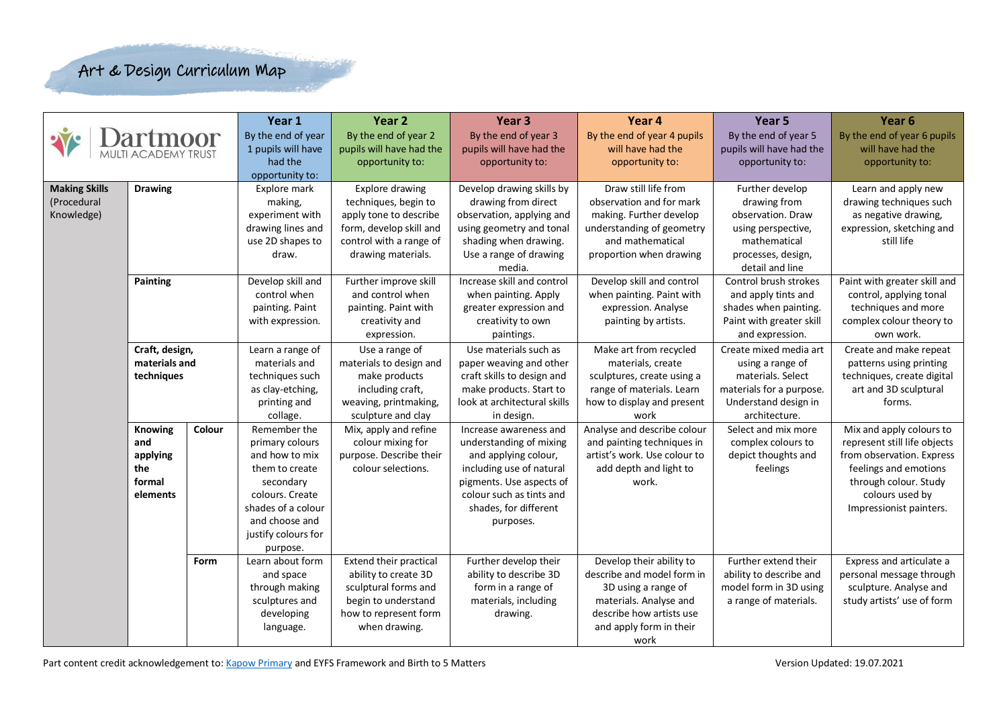|                      |                                                                |                 | Year 1                                                                                                                                                                                                                                                                                                                            | Year <sub>2</sub>                                                                                                                                                                                                                                                                                                          | Year <sub>3</sub>                                                                                                                                                                                                                                                                                                                                                                                                       | Year 4                                                                                                                                                                                                                                                                                                                                                                    | Year <sub>5</sub>                                                                                                                                                                                                                                                            | Year <sub>6</sub>                                                                                                                                                                                                                                                                                                                                            |
|----------------------|----------------------------------------------------------------|-----------------|-----------------------------------------------------------------------------------------------------------------------------------------------------------------------------------------------------------------------------------------------------------------------------------------------------------------------------------|----------------------------------------------------------------------------------------------------------------------------------------------------------------------------------------------------------------------------------------------------------------------------------------------------------------------------|-------------------------------------------------------------------------------------------------------------------------------------------------------------------------------------------------------------------------------------------------------------------------------------------------------------------------------------------------------------------------------------------------------------------------|---------------------------------------------------------------------------------------------------------------------------------------------------------------------------------------------------------------------------------------------------------------------------------------------------------------------------------------------------------------------------|------------------------------------------------------------------------------------------------------------------------------------------------------------------------------------------------------------------------------------------------------------------------------|--------------------------------------------------------------------------------------------------------------------------------------------------------------------------------------------------------------------------------------------------------------------------------------------------------------------------------------------------------------|
|                      |                                                                |                 | By the end of year                                                                                                                                                                                                                                                                                                                | By the end of year 2                                                                                                                                                                                                                                                                                                       | By the end of year 3                                                                                                                                                                                                                                                                                                                                                                                                    | By the end of year 4 pupils                                                                                                                                                                                                                                                                                                                                               | By the end of year 5                                                                                                                                                                                                                                                         | By the end of year 6 pupils                                                                                                                                                                                                                                                                                                                                  |
|                      | <b>TI ACADEMY TRUST</b>                                        |                 | 1 pupils will have                                                                                                                                                                                                                                                                                                                | pupils will have had the                                                                                                                                                                                                                                                                                                   | pupils will have had the                                                                                                                                                                                                                                                                                                                                                                                                | will have had the                                                                                                                                                                                                                                                                                                                                                         | pupils will have had the                                                                                                                                                                                                                                                     | will have had the                                                                                                                                                                                                                                                                                                                                            |
|                      |                                                                | had the         | opportunity to:                                                                                                                                                                                                                                                                                                                   | opportunity to:                                                                                                                                                                                                                                                                                                            | opportunity to:                                                                                                                                                                                                                                                                                                                                                                                                         | opportunity to:                                                                                                                                                                                                                                                                                                                                                           | opportunity to:                                                                                                                                                                                                                                                              |                                                                                                                                                                                                                                                                                                                                                              |
|                      |                                                                |                 | opportunity to:                                                                                                                                                                                                                                                                                                                   |                                                                                                                                                                                                                                                                                                                            |                                                                                                                                                                                                                                                                                                                                                                                                                         |                                                                                                                                                                                                                                                                                                                                                                           |                                                                                                                                                                                                                                                                              |                                                                                                                                                                                                                                                                                                                                                              |
| <b>Making Skills</b> | <b>Drawing</b>                                                 |                 | Explore mark                                                                                                                                                                                                                                                                                                                      | Explore drawing                                                                                                                                                                                                                                                                                                            | Develop drawing skills by                                                                                                                                                                                                                                                                                                                                                                                               | Draw still life from                                                                                                                                                                                                                                                                                                                                                      | Further develop                                                                                                                                                                                                                                                              | Learn and apply new                                                                                                                                                                                                                                                                                                                                          |
| (Procedural          |                                                                | making,         | techniques, begin to                                                                                                                                                                                                                                                                                                              | drawing from direct                                                                                                                                                                                                                                                                                                        | observation and for mark                                                                                                                                                                                                                                                                                                                                                                                                | drawing from                                                                                                                                                                                                                                                                                                                                                              | drawing techniques such                                                                                                                                                                                                                                                      |                                                                                                                                                                                                                                                                                                                                                              |
| Knowledge)           |                                                                | experiment with | apply tone to describe                                                                                                                                                                                                                                                                                                            | observation, applying and                                                                                                                                                                                                                                                                                                  | making. Further develop                                                                                                                                                                                                                                                                                                                                                                                                 | observation. Draw                                                                                                                                                                                                                                                                                                                                                         | as negative drawing,                                                                                                                                                                                                                                                         |                                                                                                                                                                                                                                                                                                                                                              |
|                      |                                                                |                 | drawing lines and                                                                                                                                                                                                                                                                                                                 | form, develop skill and                                                                                                                                                                                                                                                                                                    | using geometry and tonal                                                                                                                                                                                                                                                                                                                                                                                                | understanding of geometry                                                                                                                                                                                                                                                                                                                                                 | using perspective,                                                                                                                                                                                                                                                           | expression, sketching and                                                                                                                                                                                                                                                                                                                                    |
|                      |                                                                |                 | use 2D shapes to                                                                                                                                                                                                                                                                                                                  | control with a range of                                                                                                                                                                                                                                                                                                    | shading when drawing.                                                                                                                                                                                                                                                                                                                                                                                                   | and mathematical                                                                                                                                                                                                                                                                                                                                                          | mathematical                                                                                                                                                                                                                                                                 | still life                                                                                                                                                                                                                                                                                                                                                   |
|                      |                                                                |                 | draw.                                                                                                                                                                                                                                                                                                                             | drawing materials.                                                                                                                                                                                                                                                                                                         | Use a range of drawing                                                                                                                                                                                                                                                                                                                                                                                                  | proportion when drawing                                                                                                                                                                                                                                                                                                                                                   | processes, design,                                                                                                                                                                                                                                                           |                                                                                                                                                                                                                                                                                                                                                              |
|                      |                                                                |                 |                                                                                                                                                                                                                                                                                                                                   |                                                                                                                                                                                                                                                                                                                            | media.                                                                                                                                                                                                                                                                                                                                                                                                                  |                                                                                                                                                                                                                                                                                                                                                                           | detail and line                                                                                                                                                                                                                                                              |                                                                                                                                                                                                                                                                                                                                                              |
|                      | Painting                                                       |                 | Develop skill and                                                                                                                                                                                                                                                                                                                 | Further improve skill                                                                                                                                                                                                                                                                                                      | Increase skill and control                                                                                                                                                                                                                                                                                                                                                                                              | Develop skill and control                                                                                                                                                                                                                                                                                                                                                 | Control brush strokes                                                                                                                                                                                                                                                        | Paint with greater skill and                                                                                                                                                                                                                                                                                                                                 |
|                      |                                                                |                 | control when                                                                                                                                                                                                                                                                                                                      | and control when                                                                                                                                                                                                                                                                                                           | when painting. Apply                                                                                                                                                                                                                                                                                                                                                                                                    | when painting. Paint with                                                                                                                                                                                                                                                                                                                                                 | and apply tints and                                                                                                                                                                                                                                                          | control, applying tonal                                                                                                                                                                                                                                                                                                                                      |
|                      |                                                                |                 | painting. Paint                                                                                                                                                                                                                                                                                                                   | painting. Paint with                                                                                                                                                                                                                                                                                                       | greater expression and                                                                                                                                                                                                                                                                                                                                                                                                  | expression. Analyse                                                                                                                                                                                                                                                                                                                                                       | shades when painting.                                                                                                                                                                                                                                                        | techniques and more                                                                                                                                                                                                                                                                                                                                          |
|                      |                                                                |                 | with expression.                                                                                                                                                                                                                                                                                                                  | creativity and                                                                                                                                                                                                                                                                                                             | creativity to own                                                                                                                                                                                                                                                                                                                                                                                                       | painting by artists.                                                                                                                                                                                                                                                                                                                                                      | Paint with greater skill                                                                                                                                                                                                                                                     | complex colour theory to                                                                                                                                                                                                                                                                                                                                     |
|                      |                                                                |                 |                                                                                                                                                                                                                                                                                                                                   | expression.                                                                                                                                                                                                                                                                                                                | paintings.                                                                                                                                                                                                                                                                                                                                                                                                              |                                                                                                                                                                                                                                                                                                                                                                           | and expression.                                                                                                                                                                                                                                                              | own work.                                                                                                                                                                                                                                                                                                                                                    |
|                      | Craft, design,                                                 |                 | Learn a range of                                                                                                                                                                                                                                                                                                                  | Use a range of                                                                                                                                                                                                                                                                                                             | Use materials such as                                                                                                                                                                                                                                                                                                                                                                                                   | Make art from recycled                                                                                                                                                                                                                                                                                                                                                    | Create mixed media art                                                                                                                                                                                                                                                       | Create and make repeat                                                                                                                                                                                                                                                                                                                                       |
|                      | materials and                                                  |                 | materials and                                                                                                                                                                                                                                                                                                                     | materials to design and                                                                                                                                                                                                                                                                                                    | paper weaving and other                                                                                                                                                                                                                                                                                                                                                                                                 | materials, create                                                                                                                                                                                                                                                                                                                                                         | using a range of                                                                                                                                                                                                                                                             | patterns using printing                                                                                                                                                                                                                                                                                                                                      |
| techniques           |                                                                |                 |                                                                                                                                                                                                                                                                                                                                   |                                                                                                                                                                                                                                                                                                                            |                                                                                                                                                                                                                                                                                                                                                                                                                         | sculptures, create using a                                                                                                                                                                                                                                                                                                                                                |                                                                                                                                                                                                                                                                              |                                                                                                                                                                                                                                                                                                                                                              |
|                      |                                                                |                 |                                                                                                                                                                                                                                                                                                                                   |                                                                                                                                                                                                                                                                                                                            |                                                                                                                                                                                                                                                                                                                                                                                                                         |                                                                                                                                                                                                                                                                                                                                                                           |                                                                                                                                                                                                                                                                              |                                                                                                                                                                                                                                                                                                                                                              |
|                      |                                                                |                 | printing and                                                                                                                                                                                                                                                                                                                      |                                                                                                                                                                                                                                                                                                                            |                                                                                                                                                                                                                                                                                                                                                                                                                         |                                                                                                                                                                                                                                                                                                                                                                           |                                                                                                                                                                                                                                                                              | forms.                                                                                                                                                                                                                                                                                                                                                       |
|                      |                                                                |                 |                                                                                                                                                                                                                                                                                                                                   |                                                                                                                                                                                                                                                                                                                            |                                                                                                                                                                                                                                                                                                                                                                                                                         |                                                                                                                                                                                                                                                                                                                                                                           |                                                                                                                                                                                                                                                                              |                                                                                                                                                                                                                                                                                                                                                              |
|                      |                                                                |                 |                                                                                                                                                                                                                                                                                                                                   |                                                                                                                                                                                                                                                                                                                            |                                                                                                                                                                                                                                                                                                                                                                                                                         |                                                                                                                                                                                                                                                                                                                                                                           |                                                                                                                                                                                                                                                                              |                                                                                                                                                                                                                                                                                                                                                              |
|                      |                                                                |                 |                                                                                                                                                                                                                                                                                                                                   |                                                                                                                                                                                                                                                                                                                            |                                                                                                                                                                                                                                                                                                                                                                                                                         |                                                                                                                                                                                                                                                                                                                                                                           |                                                                                                                                                                                                                                                                              |                                                                                                                                                                                                                                                                                                                                                              |
|                      |                                                                |                 |                                                                                                                                                                                                                                                                                                                                   |                                                                                                                                                                                                                                                                                                                            |                                                                                                                                                                                                                                                                                                                                                                                                                         |                                                                                                                                                                                                                                                                                                                                                                           |                                                                                                                                                                                                                                                                              |                                                                                                                                                                                                                                                                                                                                                              |
|                      |                                                                |                 |                                                                                                                                                                                                                                                                                                                                   |                                                                                                                                                                                                                                                                                                                            |                                                                                                                                                                                                                                                                                                                                                                                                                         |                                                                                                                                                                                                                                                                                                                                                                           |                                                                                                                                                                                                                                                                              |                                                                                                                                                                                                                                                                                                                                                              |
|                      |                                                                |                 |                                                                                                                                                                                                                                                                                                                                   |                                                                                                                                                                                                                                                                                                                            |                                                                                                                                                                                                                                                                                                                                                                                                                         |                                                                                                                                                                                                                                                                                                                                                                           |                                                                                                                                                                                                                                                                              |                                                                                                                                                                                                                                                                                                                                                              |
|                      |                                                                |                 |                                                                                                                                                                                                                                                                                                                                   |                                                                                                                                                                                                                                                                                                                            |                                                                                                                                                                                                                                                                                                                                                                                                                         |                                                                                                                                                                                                                                                                                                                                                                           |                                                                                                                                                                                                                                                                              |                                                                                                                                                                                                                                                                                                                                                              |
|                      |                                                                |                 |                                                                                                                                                                                                                                                                                                                                   |                                                                                                                                                                                                                                                                                                                            |                                                                                                                                                                                                                                                                                                                                                                                                                         |                                                                                                                                                                                                                                                                                                                                                                           |                                                                                                                                                                                                                                                                              |                                                                                                                                                                                                                                                                                                                                                              |
|                      |                                                                |                 |                                                                                                                                                                                                                                                                                                                                   |                                                                                                                                                                                                                                                                                                                            |                                                                                                                                                                                                                                                                                                                                                                                                                         |                                                                                                                                                                                                                                                                                                                                                                           |                                                                                                                                                                                                                                                                              |                                                                                                                                                                                                                                                                                                                                                              |
|                      |                                                                |                 |                                                                                                                                                                                                                                                                                                                                   |                                                                                                                                                                                                                                                                                                                            |                                                                                                                                                                                                                                                                                                                                                                                                                         |                                                                                                                                                                                                                                                                                                                                                                           |                                                                                                                                                                                                                                                                              |                                                                                                                                                                                                                                                                                                                                                              |
|                      |                                                                |                 |                                                                                                                                                                                                                                                                                                                                   |                                                                                                                                                                                                                                                                                                                            |                                                                                                                                                                                                                                                                                                                                                                                                                         |                                                                                                                                                                                                                                                                                                                                                                           |                                                                                                                                                                                                                                                                              |                                                                                                                                                                                                                                                                                                                                                              |
|                      |                                                                |                 |                                                                                                                                                                                                                                                                                                                                   |                                                                                                                                                                                                                                                                                                                            |                                                                                                                                                                                                                                                                                                                                                                                                                         |                                                                                                                                                                                                                                                                                                                                                                           |                                                                                                                                                                                                                                                                              |                                                                                                                                                                                                                                                                                                                                                              |
|                      |                                                                |                 |                                                                                                                                                                                                                                                                                                                                   |                                                                                                                                                                                                                                                                                                                            |                                                                                                                                                                                                                                                                                                                                                                                                                         |                                                                                                                                                                                                                                                                                                                                                                           |                                                                                                                                                                                                                                                                              |                                                                                                                                                                                                                                                                                                                                                              |
|                      |                                                                |                 |                                                                                                                                                                                                                                                                                                                                   |                                                                                                                                                                                                                                                                                                                            |                                                                                                                                                                                                                                                                                                                                                                                                                         |                                                                                                                                                                                                                                                                                                                                                                           |                                                                                                                                                                                                                                                                              |                                                                                                                                                                                                                                                                                                                                                              |
|                      |                                                                |                 |                                                                                                                                                                                                                                                                                                                                   |                                                                                                                                                                                                                                                                                                                            |                                                                                                                                                                                                                                                                                                                                                                                                                         |                                                                                                                                                                                                                                                                                                                                                                           |                                                                                                                                                                                                                                                                              |                                                                                                                                                                                                                                                                                                                                                              |
|                      |                                                                |                 |                                                                                                                                                                                                                                                                                                                                   |                                                                                                                                                                                                                                                                                                                            |                                                                                                                                                                                                                                                                                                                                                                                                                         |                                                                                                                                                                                                                                                                                                                                                                           |                                                                                                                                                                                                                                                                              |                                                                                                                                                                                                                                                                                                                                                              |
|                      |                                                                |                 |                                                                                                                                                                                                                                                                                                                                   |                                                                                                                                                                                                                                                                                                                            |                                                                                                                                                                                                                                                                                                                                                                                                                         |                                                                                                                                                                                                                                                                                                                                                                           |                                                                                                                                                                                                                                                                              |                                                                                                                                                                                                                                                                                                                                                              |
|                      | <b>Knowing</b><br>and<br>applying<br>the<br>formal<br>elements | Colour<br>Form  | techniques such<br>as clay-etching,<br>collage.<br>Remember the<br>primary colours<br>and how to mix<br>them to create<br>secondary<br>colours. Create<br>shades of a colour<br>and choose and<br>justify colours for<br>purpose.<br>Learn about form<br>and space<br>through making<br>sculptures and<br>developing<br>language. | make products<br>including craft,<br>weaving, printmaking,<br>sculpture and clay<br>Mix, apply and refine<br>colour mixing for<br>purpose. Describe their<br>colour selections.<br>Extend their practical<br>ability to create 3D<br>sculptural forms and<br>begin to understand<br>how to represent form<br>when drawing. | craft skills to design and<br>make products. Start to<br>look at architectural skills<br>in design.<br>Increase awareness and<br>understanding of mixing<br>and applying colour,<br>including use of natural<br>pigments. Use aspects of<br>colour such as tints and<br>shades, for different<br>purposes.<br>Further develop their<br>ability to describe 3D<br>form in a range of<br>materials, including<br>drawing. | range of materials. Learn<br>how to display and present<br>work<br>Analyse and describe colour<br>and painting techniques in<br>artist's work. Use colour to<br>add depth and light to<br>work.<br>Develop their ability to<br>describe and model form in<br>3D using a range of<br>materials. Analyse and<br>describe how artists use<br>and apply form in their<br>work | materials. Select<br>materials for a purpose.<br>Understand design in<br>architecture.<br>Select and mix more<br>complex colours to<br>depict thoughts and<br>feelings<br>Further extend their<br>ability to describe and<br>model form in 3D using<br>a range of materials. | techniques, create digital<br>art and 3D sculptural<br>Mix and apply colours to<br>represent still life objects<br>from observation. Express<br>feelings and emotions<br>through colour. Study<br>colours used by<br>Impressionist painters.<br>Express and articulate a<br>personal message through<br>sculpture. Analyse and<br>study artists' use of form |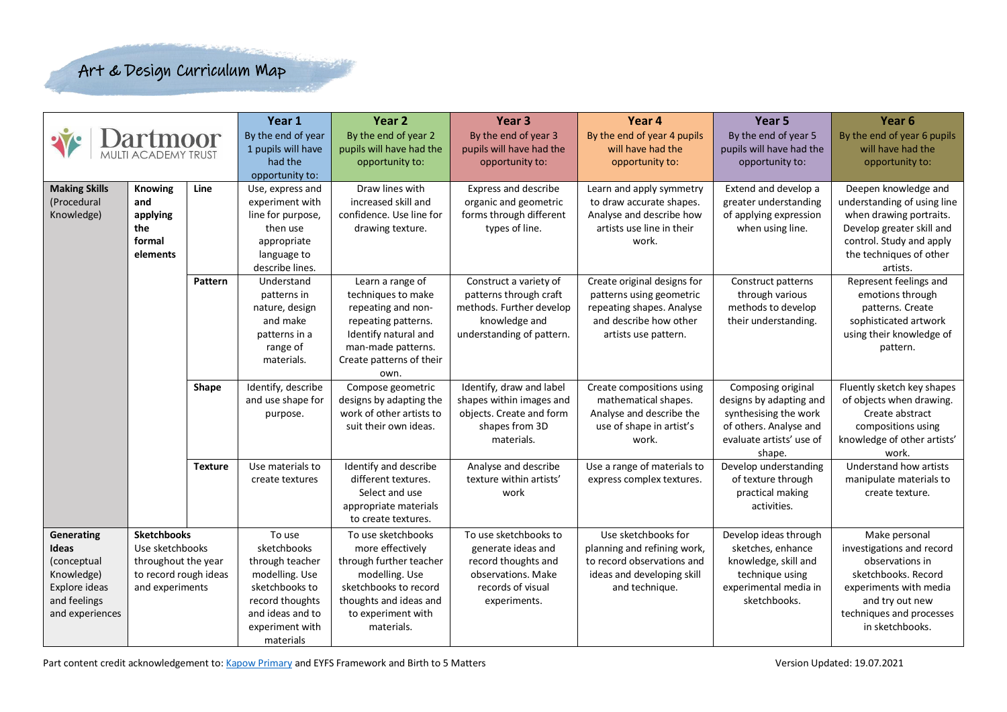| Year 1<br>Year 2<br>Year <sub>3</sub><br>Year 4<br>Year 5                                                                                                                                                                          | Year <sub>6</sub>                           |
|------------------------------------------------------------------------------------------------------------------------------------------------------------------------------------------------------------------------------------|---------------------------------------------|
| By the end of year<br>By the end of year 2<br>By the end of year 3<br>By the end of year 4 pupils<br>By the end of year 5                                                                                                          | By the end of year 6 pupils                 |
| 1 pupils will have<br>pupils will have had the<br>pupils will have had the<br>pupils will have had the<br>will have had the<br>MULTI ACADEMY TRUST                                                                                 | will have had the                           |
| had the<br>opportunity to:<br>opportunity to:<br>opportunity to:<br>opportunity to:                                                                                                                                                | opportunity to:                             |
| opportunity to:                                                                                                                                                                                                                    |                                             |
| <b>Making Skills</b><br><b>Knowing</b><br>Line<br>Use, express and<br>Draw lines with<br>Express and describe<br>Learn and apply symmetry<br>Extend and develop a                                                                  | Deepen knowledge and                        |
| (Procedural<br>experiment with<br>increased skill and<br>organic and geometric<br>to draw accurate shapes.<br>greater understanding<br>and                                                                                         | understanding of using line                 |
| confidence. Use line for<br>forms through different<br>Analyse and describe how<br>of applying expression<br>Knowledge)<br>applying<br>line for purpose,                                                                           | when drawing portraits.                     |
| artists use line in their<br>then use<br>drawing texture.<br>types of line.<br>when using line.<br>the                                                                                                                             | Develop greater skill and                   |
| work.<br>formal<br>appropriate                                                                                                                                                                                                     | control. Study and apply                    |
| elements<br>language to                                                                                                                                                                                                            | the techniques of other                     |
| describe lines.                                                                                                                                                                                                                    | artists.                                    |
| Construct a variety of<br>Create original designs for<br>Pattern<br>Learn a range of<br>Construct patterns<br>Understand                                                                                                           | Represent feelings and                      |
| patterns through craft<br>patterns using geometric<br>through various<br>techniques to make<br>patterns in                                                                                                                         | emotions through                            |
| methods. Further develop<br>nature, design<br>repeating and non-<br>repeating shapes. Analyse<br>methods to develop                                                                                                                | patterns. Create                            |
| and make<br>knowledge and<br>and describe how other<br>their understanding.<br>repeating patterns.                                                                                                                                 | sophisticated artwork                       |
| Identify natural and<br>understanding of pattern.<br>patterns in a<br>artists use pattern.                                                                                                                                         | using their knowledge of                    |
| range of<br>man-made patterns.                                                                                                                                                                                                     | pattern.                                    |
| Create patterns of their<br>materials.                                                                                                                                                                                             |                                             |
| own.                                                                                                                                                                                                                               |                                             |
| Identify, describe<br>Compose geometric<br>Identify, draw and label<br>Shape<br>Create compositions using<br>Composing original                                                                                                    | Fluently sketch key shapes                  |
| and use shape for<br>designs by adapting the<br>shapes within images and<br>mathematical shapes.<br>designs by adapting and                                                                                                        | of objects when drawing.                    |
| work of other artists to<br>objects. Create and form<br>Analyse and describe the<br>synthesising the work<br>purpose.                                                                                                              | Create abstract                             |
| shapes from 3D<br>use of shape in artist's<br>of others. Analyse and<br>suit their own ideas.                                                                                                                                      | compositions using                          |
| materials.<br>work.<br>evaluate artists' use of                                                                                                                                                                                    | knowledge of other artists'                 |
| shape.                                                                                                                                                                                                                             | work.                                       |
| Identify and describe<br>Analyse and describe<br>Use a range of materials to<br>Use materials to<br>Develop understanding<br><b>Texture</b>                                                                                        | Understand how artists                      |
| texture within artists'<br>different textures.<br>express complex textures.<br>of texture through<br>create textures                                                                                                               | manipulate materials to                     |
| Select and use<br>practical making<br>work                                                                                                                                                                                         | create texture.                             |
| appropriate materials<br>activities.                                                                                                                                                                                               |                                             |
| to create textures.                                                                                                                                                                                                                |                                             |
| <b>Sketchbooks</b><br>To use<br>To use sketchbooks<br>To use sketchbooks to<br>Use sketchbooks for<br>Develop ideas through<br>Generating                                                                                          | Make personal                               |
| sketchbooks<br>sketches, enhance<br>Use sketchbooks<br>more effectively<br>generate ideas and<br>planning and refining work,<br>Ideas                                                                                              | investigations and record                   |
| throughout the year<br>through teacher<br>through further teacher<br>record thoughts and<br>to record observations and<br>knowledge, skill and<br>(conceptual<br>observations. Make                                                | observations in<br>sketchbooks. Record      |
| Knowledge)<br>to record rough ideas<br>modelling. Use<br>ideas and developing skill<br>modelling. Use<br>technique using<br>Explore ideas<br>sketchbooks to<br>sketchbooks to record<br>records of visual<br>experimental media in | experiments with media                      |
| and experiments<br>and technique.<br>and feelings<br>thoughts and ideas and<br>sketchbooks.                                                                                                                                        |                                             |
| record thoughts<br>experiments.<br>and experiences<br>and ideas and to<br>to experiment with                                                                                                                                       | and try out new<br>techniques and processes |
|                                                                                                                                                                                                                                    | in sketchbooks.                             |
| experiment with<br>materials.<br>materials                                                                                                                                                                                         |                                             |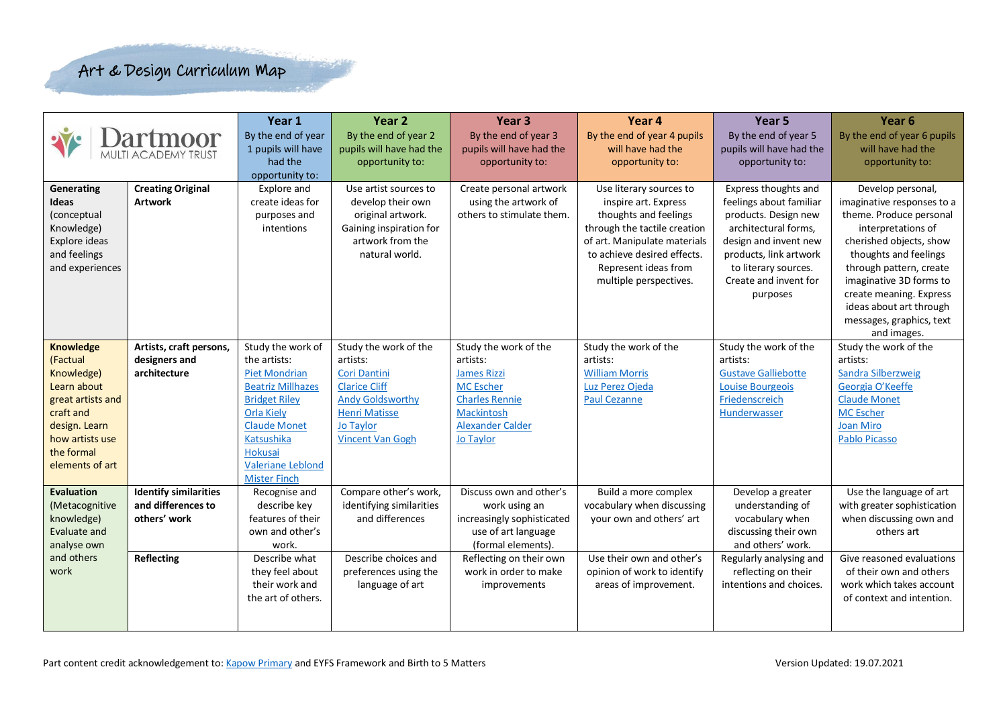|                                                                                                                                                                  | <b>MULTI ACADEMY TRUST</b>                                                              | Year 1<br>By the end of year<br>1 pupils will have<br>had the<br>opportunity to:                                                                                                                                                             | Year 2<br>By the end of year 2<br>pupils will have had the<br>opportunity to:                                                                                               | Year <sub>3</sub><br>By the end of year 3<br>pupils will have had the<br>opportunity to:                                                                                                | Year 4<br>By the end of year 4 pupils<br>will have had the<br>opportunity to:                                                                                                                                             | Year 5<br>By the end of year 5<br>pupils will have had the<br>opportunity to:                                                                                                                                   | Year <sub>6</sub><br>By the end of year 6 pupils<br>will have had the<br>opportunity to:                                                                                                                                                                                                                    |
|------------------------------------------------------------------------------------------------------------------------------------------------------------------|-----------------------------------------------------------------------------------------|----------------------------------------------------------------------------------------------------------------------------------------------------------------------------------------------------------------------------------------------|-----------------------------------------------------------------------------------------------------------------------------------------------------------------------------|-----------------------------------------------------------------------------------------------------------------------------------------------------------------------------------------|---------------------------------------------------------------------------------------------------------------------------------------------------------------------------------------------------------------------------|-----------------------------------------------------------------------------------------------------------------------------------------------------------------------------------------------------------------|-------------------------------------------------------------------------------------------------------------------------------------------------------------------------------------------------------------------------------------------------------------------------------------------------------------|
| Generating<br>Ideas<br>(conceptual<br>Knowledge)<br>Explore ideas<br>and feelings<br>and experiences                                                             | <b>Creating Original</b><br><b>Artwork</b>                                              | Explore and<br>create ideas for<br>purposes and<br>intentions                                                                                                                                                                                | Use artist sources to<br>develop their own<br>original artwork.<br>Gaining inspiration for<br>artwork from the<br>natural world.                                            | Create personal artwork<br>using the artwork of<br>others to stimulate them.                                                                                                            | Use literary sources to<br>inspire art. Express<br>thoughts and feelings<br>through the tactile creation<br>of art. Manipulate materials<br>to achieve desired effects.<br>Represent ideas from<br>multiple perspectives. | Express thoughts and<br>feelings about familiar<br>products. Design new<br>architectural forms,<br>design and invent new<br>products, link artwork<br>to literary sources.<br>Create and invent for<br>purposes | Develop personal,<br>imaginative responses to a<br>theme. Produce personal<br>interpretations of<br>cherished objects, show<br>thoughts and feelings<br>through pattern, create<br>imaginative 3D forms to<br>create meaning. Express<br>ideas about art through<br>messages, graphics, text<br>and images. |
| <b>Knowledge</b><br>(Factual<br>Knowledge)<br>Learn about<br>great artists and<br>craft and<br>design. Learn<br>how artists use<br>the formal<br>elements of art | Artists, craft persons,<br>designers and<br>architecture                                | Study the work of<br>the artists:<br><b>Piet Mondrian</b><br><b>Beatriz Millhazes</b><br><b>Bridget Riley</b><br><b>Orla Kiely</b><br><b>Claude Monet</b><br><b>Katsushika</b><br>Hokusai<br><b>Valeriane Leblond</b><br><b>Mister Finch</b> | Study the work of the<br>artists:<br>Cori Dantini<br><b>Clarice Cliff</b><br><b>Andy Goldsworthy</b><br><b>Henri Matisse</b><br><b>Jo Taylor</b><br><b>Vincent Van Gogh</b> | Study the work of the<br>artists:<br><b>James Rizzi</b><br><b>MC</b> Escher<br><b>Charles Rennie</b><br>Mackintosh<br><b>Alexander Calder</b><br>Jo Taylor                              | Study the work of the<br>artists:<br><b>William Morris</b><br>Luz Perez Ojeda<br><b>Paul Cezanne</b>                                                                                                                      | Study the work of the<br>artists:<br><b>Gustave Galliebotte</b><br><b>Louise Bourgeois</b><br>Friedenscreich<br>Hunderwasser                                                                                    | Study the work of the<br>artists:<br><b>Sandra Silberzweig</b><br>Georgia O'Keeffe<br><b>Claude Monet</b><br><b>MC</b> Escher<br><b>Joan Miro</b><br><b>Pablo Picasso</b>                                                                                                                                   |
| <b>Evaluation</b><br>(Metacognitive<br>knowledge)<br>Evaluate and<br>analyse own<br>and others<br>work                                                           | <b>Identify similarities</b><br>and differences to<br>others' work<br><b>Reflecting</b> | Recognise and<br>describe key<br>features of their<br>own and other's<br>work.<br>Describe what<br>they feel about<br>their work and<br>the art of others.                                                                                   | Compare other's work,<br>identifying similarities<br>and differences<br>Describe choices and<br>preferences using the<br>language of art                                    | Discuss own and other's<br>work using an<br>increasingly sophisticated<br>use of art language<br>(formal elements).<br>Reflecting on their own<br>work in order to make<br>improvements | Build a more complex<br>vocabulary when discussing<br>your own and others' art<br>Use their own and other's<br>opinion of work to identify<br>areas of improvement.                                                       | Develop a greater<br>understanding of<br>vocabulary when<br>discussing their own<br>and others' work.<br>Regularly analysing and<br>reflecting on their<br>intentions and choices.                              | Use the language of art<br>with greater sophistication<br>when discussing own and<br>others art<br>Give reasoned evaluations<br>of their own and others<br>work which takes account<br>of context and intention.                                                                                            |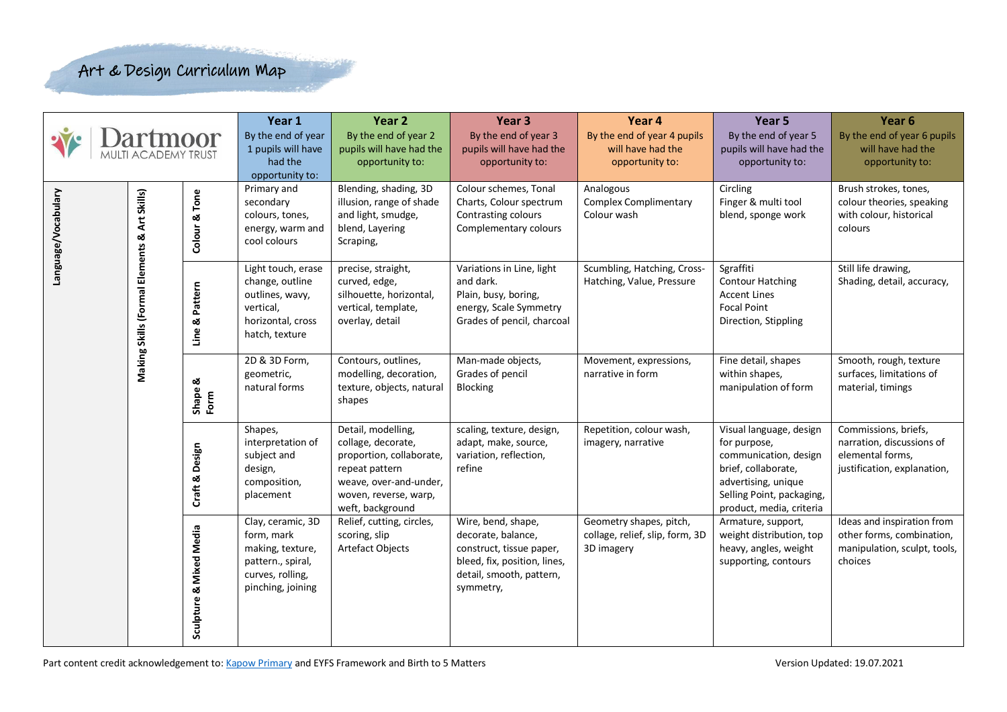| <b>Dartmoor</b><br>MULTI ACADEMY TRUST |                                              | Year 1<br>By the end of year<br>1 pupils will have<br>had the<br>opportunity to: | Year <sub>2</sub><br>By the end of year 2<br>pupils will have had the<br>opportunity to:                          | Year <sub>3</sub><br>By the end of year 3<br>pupils will have had the<br>opportunity to:                                                                      | Year 4<br>By the end of year 4 pupils<br>will have had the<br>opportunity to:                                                                 | Year 5<br>By the end of year 5<br>pupils will have had the<br>opportunity to: | Year <sub>6</sub><br>By the end of year 6 pupils<br>will have had the<br>opportunity to:                                                                                |                                                                                                      |
|----------------------------------------|----------------------------------------------|----------------------------------------------------------------------------------|-------------------------------------------------------------------------------------------------------------------|---------------------------------------------------------------------------------------------------------------------------------------------------------------|-----------------------------------------------------------------------------------------------------------------------------------------------|-------------------------------------------------------------------------------|-------------------------------------------------------------------------------------------------------------------------------------------------------------------------|------------------------------------------------------------------------------------------------------|
| Language/Vocabulary                    |                                              | Tone<br>త<br>Colour                                                              | Primary and<br>secondary<br>colours, tones,<br>energy, warm and<br>cool colours                                   | Blending, shading, 3D<br>illusion, range of shade<br>and light, smudge,<br>blend, Layering<br>Scraping,                                                       | Colour schemes, Tonal<br>Charts, Colour spectrum<br>Contrasting colours<br>Complementary colours                                              | Analogous<br><b>Complex Complimentary</b><br>Colour wash                      | Circling<br>Finger & multi tool<br>blend, sponge work                                                                                                                   | Brush strokes, tones,<br>colour theories, speaking<br>with colour, historical<br>colours             |
|                                        | Making Skills (Formal Elements & Art Skills) | Pattern<br>ळ<br>Line                                                             | Light touch, erase<br>change, outline<br>outlines, wavy,<br>vertical,<br>horizontal, cross<br>hatch, texture      | precise, straight,<br>curved, edge,<br>silhouette, horizontal,<br>vertical, template,<br>overlay, detail                                                      | Variations in Line, light<br>and dark.<br>Plain, busy, boring,<br>energy, Scale Symmetry<br>Grades of pencil, charcoal                        | Scumbling, Hatching, Cross-<br>Hatching, Value, Pressure                      | Sgraffiti<br><b>Contour Hatching</b><br><b>Accent Lines</b><br><b>Focal Point</b><br>Direction, Stippling                                                               | Still life drawing,<br>Shading, detail, accuracy,                                                    |
|                                        |                                              | Shape &<br>Form                                                                  | 2D & 3D Form,<br>geometric,<br>natural forms                                                                      | Contours, outlines,<br>modelling, decoration,<br>texture, objects, natural<br>shapes                                                                          | Man-made objects,<br>Grades of pencil<br>Blocking                                                                                             | Movement, expressions,<br>narrative in form                                   | Fine detail, shapes<br>within shapes,<br>manipulation of form                                                                                                           | Smooth, rough, texture<br>surfaces, limitations of<br>material, timings                              |
|                                        |                                              | Design<br>Craft &                                                                | Shapes,<br>interpretation of<br>subject and<br>design,<br>composition,<br>placement                               | Detail, modelling,<br>collage, decorate,<br>proportion, collaborate,<br>repeat pattern<br>weave, over-and-under,<br>woven, reverse, warp,<br>weft, background | scaling, texture, design,<br>adapt, make, source,<br>variation, reflection,<br>refine                                                         | Repetition, colour wash,<br>imagery, narrative                                | Visual language, design<br>for purpose,<br>communication, design<br>brief, collaborate,<br>advertising, unique<br>Selling Point, packaging,<br>product, media, criteria | Commissions, briefs,<br>narration, discussions of<br>elemental forms,<br>justification, explanation, |
|                                        |                                              | Sculpture & Mixed Media                                                          | Clay, ceramic, 3D<br>form, mark<br>making, texture,<br>pattern., spiral,<br>curves, rolling,<br>pinching, joining | Relief, cutting, circles,<br>scoring, slip<br>Artefact Objects                                                                                                | Wire, bend, shape,<br>decorate, balance,<br>construct, tissue paper,<br>bleed, fix, position, lines,<br>detail, smooth, pattern,<br>symmetry, | Geometry shapes, pitch,<br>collage, relief, slip, form, 3D<br>3D imagery      | Armature, support,<br>weight distribution, top<br>heavy, angles, weight<br>supporting, contours                                                                         | Ideas and inspiration from<br>other forms, combination,<br>manipulation, sculpt, tools,<br>choices   |